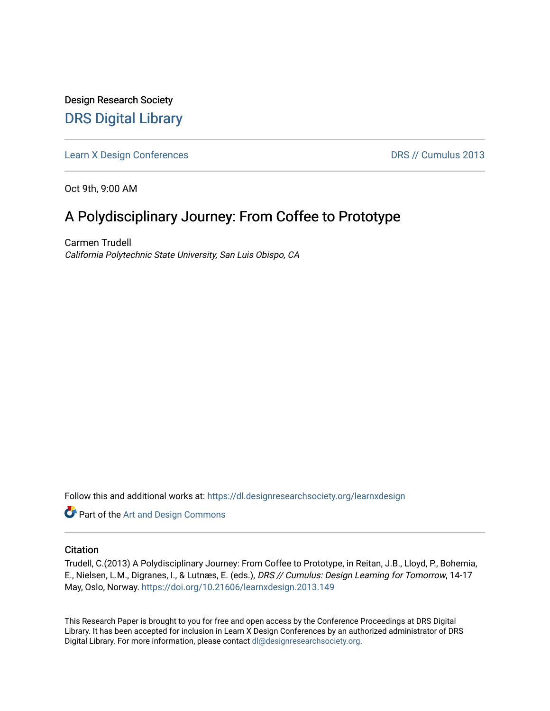Design Research Society [DRS Digital Library](https://dl.designresearchsociety.org/)

[Learn X Design Conferences](https://dl.designresearchsociety.org/learnxdesign) **DRS // Cumulus 2013** 

Oct 9th, 9:00 AM

# A Polydisciplinary Journey: From Coffee to Prototype

Carmen Trudell California Polytechnic State University, San Luis Obispo, CA

Follow this and additional works at: [https://dl.designresearchsociety.org/learnxdesign](https://dl.designresearchsociety.org/learnxdesign?utm_source=dl.designresearchsociety.org%2Flearnxdesign%2Flearnxdesign2013%2Fresearchpapers%2F146&utm_medium=PDF&utm_campaign=PDFCoverPages)

**Part of the [Art and Design Commons](http://network.bepress.com/hgg/discipline/1049?utm_source=dl.designresearchsociety.org%2Flearnxdesign%2Flearnxdesign2013%2Fresearchpapers%2F146&utm_medium=PDF&utm_campaign=PDFCoverPages)** 

## **Citation**

Trudell, C.(2013) A Polydisciplinary Journey: From Coffee to Prototype, in Reitan, J.B., Lloyd, P., Bohemia, E., Nielsen, L.M., Digranes, I., & Lutnæs, E. (eds.), DRS // Cumulus: Design Learning for Tomorrow, 14-17 May, Oslo, Norway. <https://doi.org/10.21606/learnxdesign.2013.149>

This Research Paper is brought to you for free and open access by the Conference Proceedings at DRS Digital Library. It has been accepted for inclusion in Learn X Design Conferences by an authorized administrator of DRS Digital Library. For more information, please contact [dl@designresearchsociety.org](mailto:dl@designresearchsociety.org).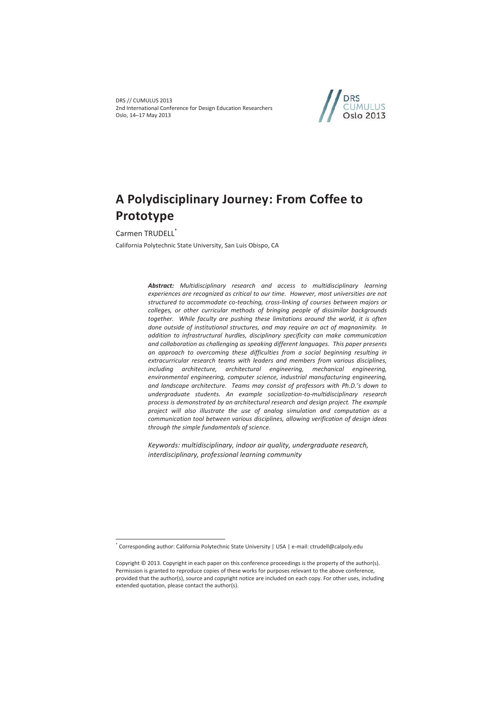DRS // CUMULUS 2013 2nd International Conference for Design Education Researchers Oslo, 14–17 May 2013



# **A Polydisciplinary Journey: From Coffee to Prototype**

Carmen TRUDELL<sup>\*</sup>

 $\overline{a}$ 

California Polytechnic State University, San Luis Obispo, CA

*Abstract: Multidisciplinary research and access to multidisciplinary learning experiences are recognized as critical to our time. However, most universities are not structured to accommodate co-teaching, cross-linking of courses between majors or colleges, or other curricular methods of bringing people of dissimilar backgrounds together. While faculty are pushing these limitations around the world, it is often done outside of institutional structures, and may require an act of magnanimity. In addition to infrastructural hurdles, disciplinary specificity can make communication and collaboration as challenging as speaking different languages. This paper presents an approach to overcoming these difficulties from a social beginning resulting in extracurricular research teams with leaders and members from various disciplines, including architecture, architectural engineering, mechanical engineering, environmental engineering, computer science, industrial manufacturing engineering, and landscape architecture. Teams may consist of professors with Ph.D.'s down to undergraduate students. An example socialization-to-multidisciplinary research process is demonstrated by an architectural research and design project. The example project will also illustrate the use of analog simulation and computation as a communication tool between various disciplines, allowing verification of design ideas through the simple fundamentals of science.*

*Keywords: multidisciplinary, indoor air quality, undergraduate research, interdisciplinary, professional learning community* 

<sup>\*</sup> Corresponding author: California Polytechnic State University | USA | e-mail: ctrudell@calpoly.edu

Copyright © 2013. Copyright in each paper on this conference proceedings is the property of the author(s). Permission is granted to reproduce copies of these works for purposes relevant to the above conference, provided that the author(s), source and copyright notice are included on each copy. For other uses, including extended quotation, please contact the author(s).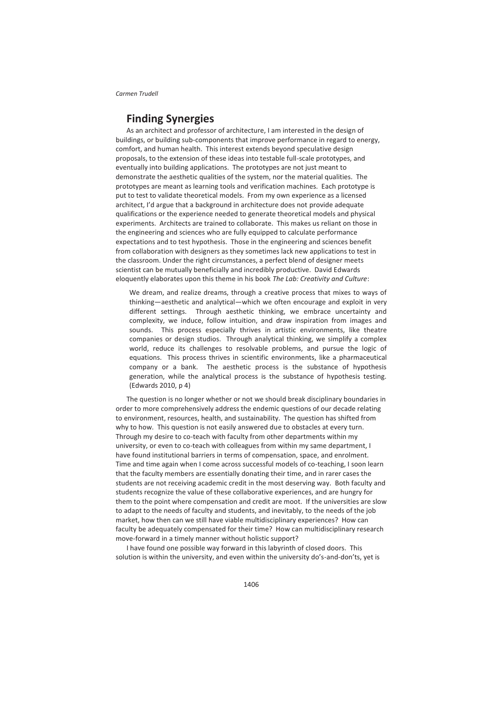## **Finding Synergies**

As an architect and professor of architecture, I am interested in the design of buildings, or building sub-components that improve performance in regard to energy, comfort, and human health. This interest extends beyond speculative design proposals, to the extension of these ideas into testable full-scale prototypes, and eventually into building applications. The prototypes are not just meant to demonstrate the aesthetic qualities of the system, nor the material qualities. The prototypes are meant as learning tools and verification machines. Each prototype is put to test to validate theoretical models. From my own experience as a licensed architect, I'd argue that a background in architecture does not provide adequate qualifications or the experience needed to generate theoretical models and physical experiments. Architects are trained to collaborate. This makes us reliant on those in the engineering and sciences who are fully equipped to calculate performance expectations and to test hypothesis. Those in the engineering and sciences benefit from collaboration with designers as they sometimes lack new applications to test in the classroom. Under the right circumstances, a perfect blend of designer meets scientist can be mutually beneficially and incredibly productive. David Edwards eloquently elaborates upon this theme in his book *The Lab: Creativity and Culture*:

We dream, and realize dreams, through a creative process that mixes to ways of thinking—aesthetic and analytical—which we often encourage and exploit in very different settings. Through aesthetic thinking, we embrace uncertainty and complexity, we induce, follow intuition, and draw inspiration from images and sounds. This process especially thrives in artistic environments, like theatre companies or design studios. Through analytical thinking, we simplify a complex world, reduce its challenges to resolvable problems, and pursue the logic of equations. This process thrives in scientific environments, like a pharmaceutical company or a bank. The aesthetic process is the substance of hypothesis generation, while the analytical process is the substance of hypothesis testing. (Edwards 2010, p 4)

The question is no longer whether or not we should break disciplinary boundaries in order to more comprehensively address the endemic questions of our decade relating to environment, resources, health, and sustainability. The question has shifted from why to how. This question is not easily answered due to obstacles at every turn. Through my desire to co-teach with faculty from other departments within my university, or even to co-teach with colleagues from within my same department, I have found institutional barriers in terms of compensation, space, and enrolment. Time and time again when I come across successful models of co-teaching, I soon learn that the faculty members are essentially donating their time, and in rarer cases the students are not receiving academic credit in the most deserving way. Both faculty and students recognize the value of these collaborative experiences, and are hungry for them to the point where compensation and credit are moot. If the universities are slow to adapt to the needs of faculty and students, and inevitably, to the needs of the job market, how then can we still have viable multidisciplinary experiences? How can faculty be adequately compensated for their time? How can multidisciplinary research move-forward in a timely manner without holistic support?

I have found one possible way forward in this labyrinth of closed doors. This solution is within the university, and even within the university do's-and-don'ts, yet is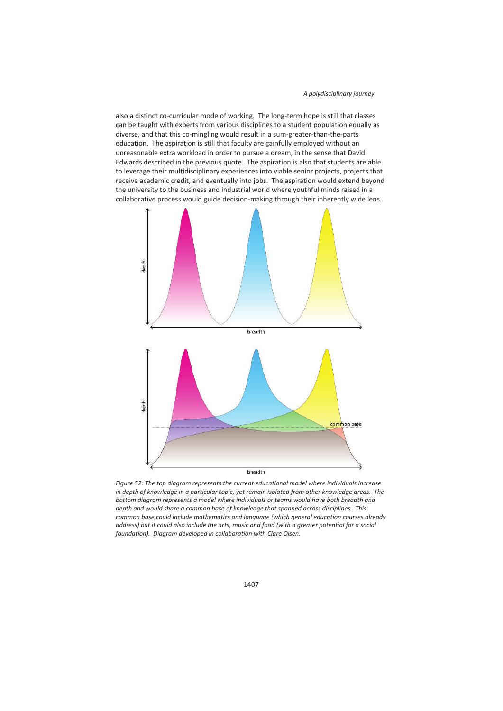also a distinct co-curricular mode of working. The long-term hope is still that classes can be taught with experts from various disciplines to a student population equally as diverse, and that this co-mingling would result in a sum-greater-than-the-parts education. The aspiration is still that faculty are gainfully employed without an unreasonable extra workload in order to pursue a dream, in the sense that David Edwards described in the previous quote. The aspiration is also that students are able to leverage their multidisciplinary experiences into viable senior projects, projects that receive academic credit, and eventually into jobs. The aspiration would extend beyond the university to the business and industrial world where youthful minds raised in a collaborative process would guide decision-making through their inherently wide lens.



*Figure 52: The top diagram represents the current educational model where individuals increase in depth of knowledge in a particular topic, yet remain isolated from other knowledge areas. The bottom diagram represents a model where individuals or teams would have both breadth and depth and would share a common base of knowledge that spanned across disciplines. This common base could include mathematics and language (which general education courses already address) but it could also include the arts, music and food (with a greater potential for a social foundation). Diagram developed in collaboration with Clare Olsen.*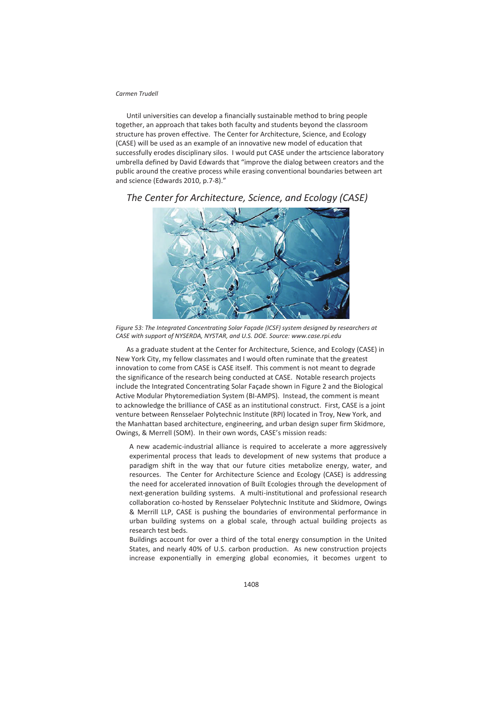Until universities can develop a financially sustainable method to bring people together, an approach that takes both faculty and students beyond the classroom structure has proven effective. The Center for Architecture, Science, and Ecology (CASE) will be used as an example of an innovative new model of education that successfully erodes disciplinary silos. I would put CASE under the artscience laboratory umbrella defined by David Edwards that "improve the dialog between creators and the public around the creative process while erasing conventional boundaries between art and science (Edwards 2010, p.7-8)."



*The Center for Architecture, Science, and Ecology (CASE)* 

*Figure 53: The Integrated Concentrating Solar Façade (ICSF) system designed by researchers at CASE with support of NYSERDA, NYSTAR, and U.S. DOE. Source: www.case.rpi.edu* 

As a graduate student at the Center for Architecture, Science, and Ecology (CASE) in New York City, my fellow classmates and I would often ruminate that the greatest innovation to come from CASE is CASE itself. This comment is not meant to degrade the significance of the research being conducted at CASE. Notable research projects include the Integrated Concentrating Solar Façade shown in Figure 2 and the Biological Active Modular Phytoremediation System (BI-AMPS). Instead, the comment is meant to acknowledge the brilliance of CASE as an institutional construct. First, CASE is a joint venture between Rensselaer Polytechnic Institute (RPI) located in Troy, New York, and the Manhattan based architecture, engineering, and urban design super firm Skidmore, Owings, & Merrell (SOM). In their own words, CASE's mission reads:

A new academic-industrial alliance is required to accelerate a more aggressively experimental process that leads to development of new systems that produce a paradigm shift in the way that our future cities metabolize energy, water, and resources. The Center for Architecture Science and Ecology (CASE) is addressing the need for accelerated innovation of Built Ecologies through the development of next-generation building systems. A multi-institutional and professional research collaboration co-hosted by Rensselaer Polytechnic Institute and Skidmore, Owings & Merrill LLP, CASE is pushing the boundaries of environmental performance in urban building systems on a global scale, through actual building projects as research test beds.

Buildings account for over a third of the total energy consumption in the United States, and nearly 40% of U.S. carbon production. As new construction projects increase exponentially in emerging global economies, it becomes urgent to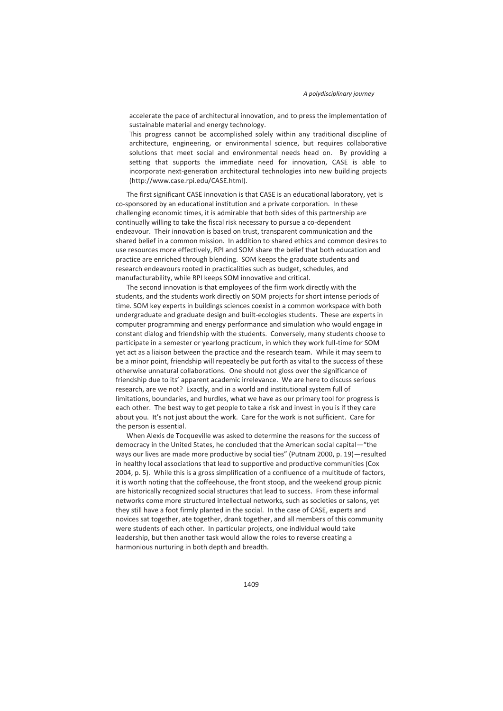accelerate the pace of architectural innovation, and to press the implementation of sustainable material and energy technology.

This progress cannot be accomplished solely within any traditional discipline of architecture, engineering, or environmental science, but requires collaborative solutions that meet social and environmental needs head on. By providing a setting that supports the immediate need for innovation, CASE is able to incorporate next-generation architectural technologies into new building projects (http://www.case.rpi.edu/CASE.html).

The first significant CASE innovation is that CASE is an educational laboratory, yet is co-sponsored by an educational institution and a private corporation. In these challenging economic times, it is admirable that both sides of this partnership are continually willing to take the fiscal risk necessary to pursue a co-dependent endeavour. Their innovation is based on trust, transparent communication and the shared belief in a common mission. In addition to shared ethics and common desires to use resources more effectively, RPI and SOM share the belief that both education and practice are enriched through blending. SOM keeps the graduate students and research endeavours rooted in practicalities such as budget, schedules, and manufacturability, while RPI keeps SOM innovative and critical.

The second innovation is that employees of the firm work directly with the students, and the students work directly on SOM projects for short intense periods of time. SOM key experts in buildings sciences coexist in a common workspace with both undergraduate and graduate design and built-ecologies students. These are experts in computer programming and energy performance and simulation who would engage in constant dialog and friendship with the students. Conversely, many students choose to participate in a semester or yearlong practicum, in which they work full-time for SOM yet act as a liaison between the practice and the research team. While it may seem to be a minor point, friendship will repeatedly be put forth as vital to the success of these otherwise unnatural collaborations. One should not gloss over the significance of friendship due to its' apparent academic irrelevance. We are here to discuss serious research, are we not? Exactly, and in a world and institutional system full of limitations, boundaries, and hurdles, what we have as our primary tool for progress is each other. The best way to get people to take a risk and invest in you is if they care about you. It's not just about the work. Care for the work is not sufficient. Care for the person is essential.

When Alexis de Tocqueville was asked to determine the reasons for the success of democracy in the United States, he concluded that the American social capital—"the ways our lives are made more productive by social ties" (Putnam 2000, p. 19)—resulted in healthy local associations that lead to supportive and productive communities (Cox 2004, p. 5). While this is a gross simplification of a confluence of a multitude of factors, it is worth noting that the coffeehouse, the front stoop, and the weekend group picnic are historically recognized social structures that lead to success. From these informal networks come more structured intellectual networks, such as societies or salons, yet they still have a foot firmly planted in the social. In the case of CASE, experts and novices sat together, ate together, drank together, and all members of this community were students of each other. In particular projects, one individual would take leadership, but then another task would allow the roles to reverse creating a harmonious nurturing in both depth and breadth.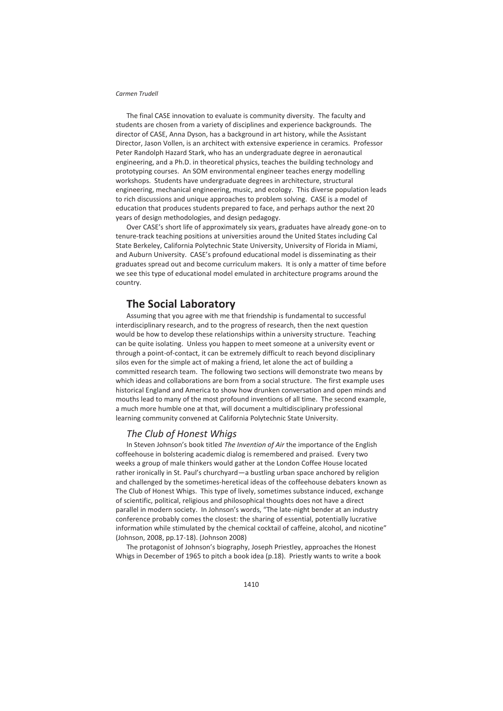The final CASE innovation to evaluate is community diversity. The faculty and students are chosen from a variety of disciplines and experience backgrounds. The director of CASE, Anna Dyson, has a background in art history, while the Assistant Director, Jason Vollen, is an architect with extensive experience in ceramics. Professor Peter Randolph Hazard Stark, who has an undergraduate degree in aeronautical engineering, and a Ph.D. in theoretical physics, teaches the building technology and prototyping courses. An SOM environmental engineer teaches energy modelling workshops. Students have undergraduate degrees in architecture, structural engineering, mechanical engineering, music, and ecology. This diverse population leads to rich discussions and unique approaches to problem solving. CASE is a model of education that produces students prepared to face, and perhaps author the next 20 years of design methodologies, and design pedagogy.

Over CASE's short life of approximately six years, graduates have already gone-on to tenure-track teaching positions at universities around the United States including Cal State Berkeley, California Polytechnic State University, University of Florida in Miami, and Auburn University. CASE's profound educational model is disseminating as their graduates spread out and become curriculum makers. It is only a matter of time before we see this type of educational model emulated in architecture programs around the country.

## **The Social Laboratory**

Assuming that you agree with me that friendship is fundamental to successful interdisciplinary research, and to the progress of research, then the next question would be how to develop these relationships within a university structure. Teaching can be quite isolating. Unless you happen to meet someone at a university event or through a point-of-contact, it can be extremely difficult to reach beyond disciplinary silos even for the simple act of making a friend, let alone the act of building a committed research team. The following two sections will demonstrate two means by which ideas and collaborations are born from a social structure. The first example uses historical England and America to show how drunken conversation and open minds and mouths lead to many of the most profound inventions of all time. The second example, a much more humble one at that, will document a multidisciplinary professional learning community convened at California Polytechnic State University.

## *The Club of Honest Whigs*

In Steven Johnson's book titled *The Invention of Air* the importance of the English coffeehouse in bolstering academic dialog is remembered and praised. Every two weeks a group of male thinkers would gather at the London Coffee House located rather ironically in St. Paul's churchyard—a bustling urban space anchored by religion and challenged by the sometimes-heretical ideas of the coffeehouse debaters known as The Club of Honest Whigs. This type of lively, sometimes substance induced, exchange of scientific, political, religious and philosophical thoughts does not have a direct parallel in modern society. In Johnson's words, "The late-night bender at an industry conference probably comes the closest: the sharing of essential, potentially lucrative information while stimulated by the chemical cocktail of caffeine, alcohol, and nicotine" (Johnson, 2008, pp.17-18). (Johnson 2008)

The protagonist of Johnson's biography, Joseph Priestley, approaches the Honest Whigs in December of 1965 to pitch a book idea (p.18). Priestly wants to write a book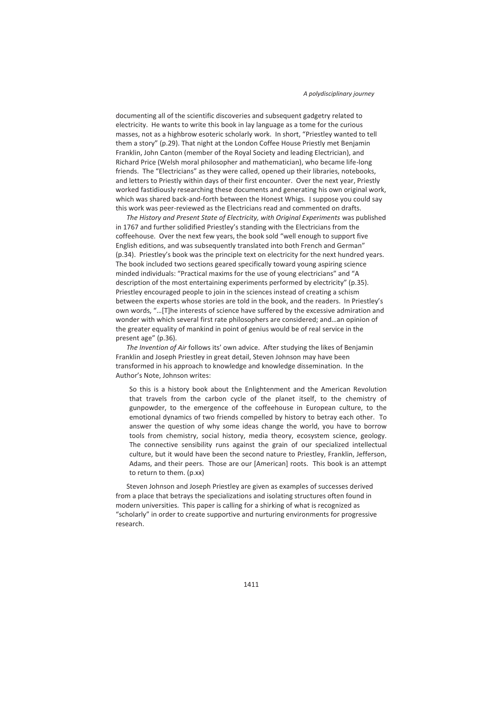documenting all of the scientific discoveries and subsequent gadgetry related to electricity. He wants to write this book in lay language as a tome for the curious masses, not as a highbrow esoteric scholarly work. In short, "Priestley wanted to tell them a story" (p.29). That night at the London Coffee House Priestly met Benjamin Franklin, John Canton (member of the Royal Society and leading Electrician), and Richard Price (Welsh moral philosopher and mathematician), who became life-long friends. The "Electricians" as they were called, opened up their libraries, notebooks, and letters to Priestly within days of their first encounter. Over the next year, Priestly worked fastidiously researching these documents and generating his own original work, which was shared back-and-forth between the Honest Whigs. I suppose you could say this work was peer-reviewed as the Electricians read and commented on drafts.

*The History and Present State of Electricity, with Original Experiments* was published in 1767 and further solidified Priestley's standing with the Electricians from the coffeehouse. Over the next few years, the book sold "well enough to support five English editions, and was subsequently translated into both French and German" (p.34). Priestley's book was the principle text on electricity for the next hundred years. The book included two sections geared specifically toward young aspiring science minded individuals: "Practical maxims for the use of young electricians" and "A description of the most entertaining experiments performed by electricity" (p.35). Priestley encouraged people to join in the sciences instead of creating a schism between the experts whose stories are told in the book, and the readers. In Priestley's own words, "…[T]he interests of science have suffered by the excessive admiration and wonder with which several first rate philosophers are considered; and…an opinion of the greater equality of mankind in point of genius would be of real service in the present age" (p.36).

*The Invention of Air* follows its' own advice. After studying the likes of Benjamin Franklin and Joseph Priestley in great detail, Steven Johnson may have been transformed in his approach to knowledge and knowledge dissemination. In the Author's Note, Johnson writes:

So this is a history book about the Enlightenment and the American Revolution that travels from the carbon cycle of the planet itself, to the chemistry of gunpowder, to the emergence of the coffeehouse in European culture, to the emotional dynamics of two friends compelled by history to betray each other. To answer the question of why some ideas change the world, you have to borrow tools from chemistry, social history, media theory, ecosystem science, geology. The connective sensibility runs against the grain of our specialized intellectual culture, but it would have been the second nature to Priestley, Franklin, Jefferson, Adams, and their peers. Those are our [American] roots. This book is an attempt to return to them. (p.xx)

Steven Johnson and Joseph Priestley are given as examples of successes derived from a place that betrays the specializations and isolating structures often found in modern universities. This paper is calling for a shirking of what is recognized as "scholarly" in order to create supportive and nurturing environments for progressive research.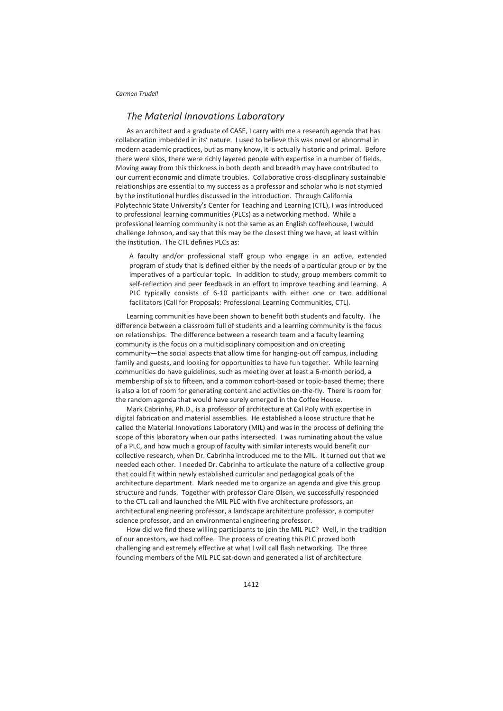## *The Material Innovations Laboratory*

As an architect and a graduate of CASE, I carry with me a research agenda that has collaboration imbedded in its' nature. I used to believe this was novel or abnormal in modern academic practices, but as many know, it is actually historic and primal. Before there were silos, there were richly layered people with expertise in a number of fields. Moving away from this thickness in both depth and breadth may have contributed to our current economic and climate troubles. Collaborative cross-disciplinary sustainable relationships are essential to my success as a professor and scholar who is not stymied by the institutional hurdles discussed in the introduction. Through California Polytechnic State University's Center for Teaching and Learning (CTL), I was introduced to professional learning communities (PLCs) as a networking method. While a professional learning community is not the same as an English coffeehouse, I would challenge Johnson, and say that this may be the closest thing we have, at least within the institution. The CTL defines PLCs as:

A faculty and/or professional staff group who engage in an active, extended program of study that is defined either by the needs of a particular group or by the imperatives of a particular topic. In addition to study, group members commit to self-reflection and peer feedback in an effort to improve teaching and learning. A PLC typically consists of 6-10 participants with either one or two additional facilitators (Call for Proposals: Professional Learning Communities, CTL).

Learning communities have been shown to benefit both students and faculty. The difference between a classroom full of students and a learning community is the focus on relationships. The difference between a research team and a faculty learning community is the focus on a multidisciplinary composition and on creating community—the social aspects that allow time for hanging-out off campus, including family and guests, and looking for opportunities to have fun together. While learning communities do have guidelines, such as meeting over at least a 6-month period, a membership of six to fifteen, and a common cohort-based or topic-based theme; there is also a lot of room for generating content and activities on-the-fly. There is room for the random agenda that would have surely emerged in the Coffee House.

Mark Cabrinha, Ph.D., is a professor of architecture at Cal Poly with expertise in digital fabrication and material assemblies. He established a loose structure that he called the Material Innovations Laboratory (MIL) and was in the process of defining the scope of this laboratory when our paths intersected. I was ruminating about the value of a PLC, and how much a group of faculty with similar interests would benefit our collective research, when Dr. Cabrinha introduced me to the MIL. It turned out that we needed each other. I needed Dr. Cabrinha to articulate the nature of a collective group that could fit within newly established curricular and pedagogical goals of the architecture department. Mark needed me to organize an agenda and give this group structure and funds. Together with professor Clare Olsen, we successfully responded to the CTL call and launched the MIL PLC with five architecture professors, an architectural engineering professor, a landscape architecture professor, a computer science professor, and an environmental engineering professor.

How did we find these willing participants to join the MIL PLC? Well, in the tradition of our ancestors, we had coffee. The process of creating this PLC proved both challenging and extremely effective at what I will call flash networking. The three founding members of the MIL PLC sat-down and generated a list of architecture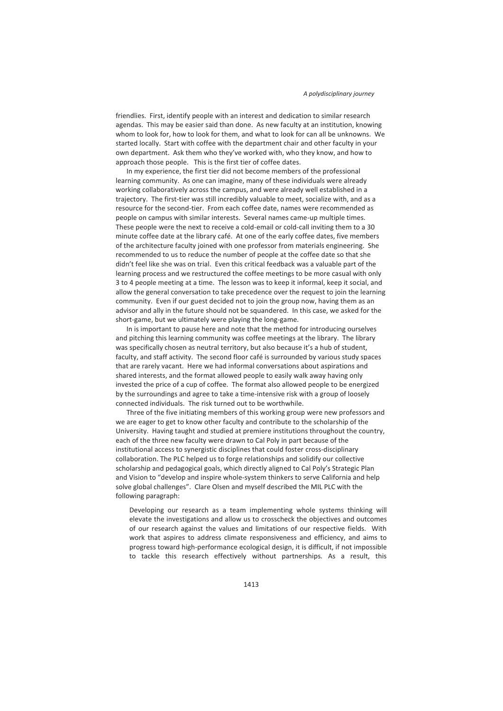friendlies. First, identify people with an interest and dedication to similar research agendas. This may be easier said than done. As new faculty at an institution, knowing whom to look for, how to look for them, and what to look for can all be unknowns. We started locally. Start with coffee with the department chair and other faculty in your own department. Ask them who they've worked with, who they know, and how to approach those people. This is the first tier of coffee dates.

In my experience, the first tier did not become members of the professional learning community. As one can imagine, many of these individuals were already working collaboratively across the campus, and were already well established in a trajectory. The first-tier was still incredibly valuable to meet, socialize with, and as a resource for the second-tier. From each coffee date, names were recommended as people on campus with similar interests. Several names came-up multiple times. These people were the next to receive a cold-email or cold-call inviting them to a 30 minute coffee date at the library café. At one of the early coffee dates, five members of the architecture faculty joined with one professor from materials engineering. She recommended to us to reduce the number of people at the coffee date so that she didn't feel like she was on trial. Even this critical feedback was a valuable part of the learning process and we restructured the coffee meetings to be more casual with only 3 to 4 people meeting at a time. The lesson was to keep it informal, keep it social, and allow the general conversation to take precedence over the request to join the learning community. Even if our guest decided not to join the group now, having them as an advisor and ally in the future should not be squandered. In this case, we asked for the short-game, but we ultimately were playing the long-game.

In is important to pause here and note that the method for introducing ourselves and pitching this learning community was coffee meetings at the library. The library was specifically chosen as neutral territory, but also because it's a hub of student, faculty, and staff activity. The second floor café is surrounded by various study spaces that are rarely vacant. Here we had informal conversations about aspirations and shared interests, and the format allowed people to easily walk away having only invested the price of a cup of coffee. The format also allowed people to be energized by the surroundings and agree to take a time-intensive risk with a group of loosely connected individuals. The risk turned out to be worthwhile.

Three of the five initiating members of this working group were new professors and we are eager to get to know other faculty and contribute to the scholarship of the University. Having taught and studied at premiere institutions throughout the country, each of the three new faculty were drawn to Cal Poly in part because of the institutional access to synergistic disciplines that could foster cross-disciplinary collaboration. The PLC helped us to forge relationships and solidify our collective scholarship and pedagogical goals, which directly aligned to Cal Poly's Strategic Plan and Vision to "develop and inspire whole-system thinkers to serve California and help solve global challenges". Clare Olsen and myself described the MIL PLC with the following paragraph:

Developing our research as a team implementing whole systems thinking will elevate the investigations and allow us to crosscheck the objectives and outcomes of our research against the values and limitations of our respective fields. With work that aspires to address climate responsiveness and efficiency, and aims to progress toward high-performance ecological design, it is difficult, if not impossible to tackle this research effectively without partnerships. As a result, this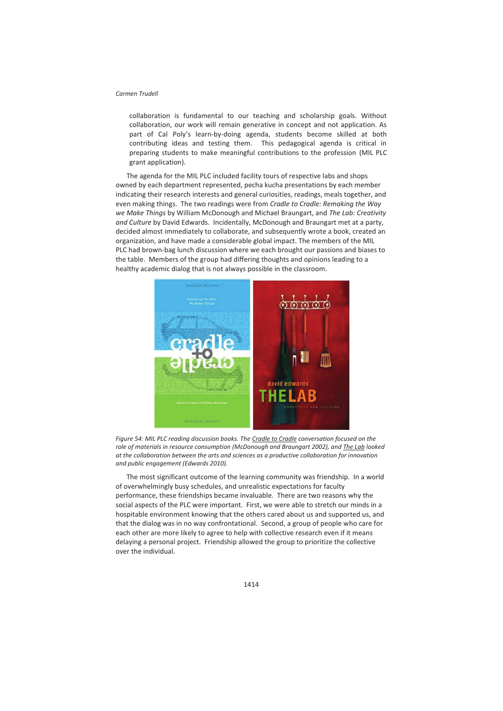collaboration is fundamental to our teaching and scholarship goals. Without collaboration, our work will remain generative in concept and not application. As part of Cal Poly's learn-by-doing agenda, students become skilled at both contributing ideas and testing them. This pedagogical agenda is critical in preparing students to make meaningful contributions to the profession (MIL PLC grant application).

The agenda for the MIL PLC included facility tours of respective labs and shops owned by each department represented, pecha kucha presentations by each member indicating their research interests and general curiosities, readings, meals together, and even making things. The two readings were from *Cradle to Cradle: Remaking the Way we Make Things* by William McDonough and Michael Braungart, and *The Lab: Creativity and Culture* by David Edwards. Incidentally, McDonough and Braungart met at a party, decided almost immediately to collaborate, and subsequently wrote a book, created an organization, and have made a considerable global impact. The members of the MIL PLC had brown-bag lunch discussion where we each brought our passions and biases to the table. Members of the group had differing thoughts and opinions leading to a healthy academic dialog that is not always possible in the classroom.



*Figure 54: MIL PLC reading discussion books. The Cradle to Cradle conversation focused on the role of materials in resource consumption (McDonough and Braungart 2002), and The Lab looked at the collaboration between the arts and sciences as a productive collaboration for innovation and public engagement (Edwards 2010).* 

The most significant outcome of the learning community was friendship. In a world of overwhelmingly busy schedules, and unrealistic expectations for faculty performance, these friendships became invaluable. There are two reasons why the social aspects of the PLC were important. First, we were able to stretch our minds in a hospitable environment knowing that the others cared about us and supported us, and that the dialog was in no way confrontational. Second, a group of people who care for each other are more likely to agree to help with collective research even if it means delaying a personal project. Friendship allowed the group to prioritize the collective over the individual.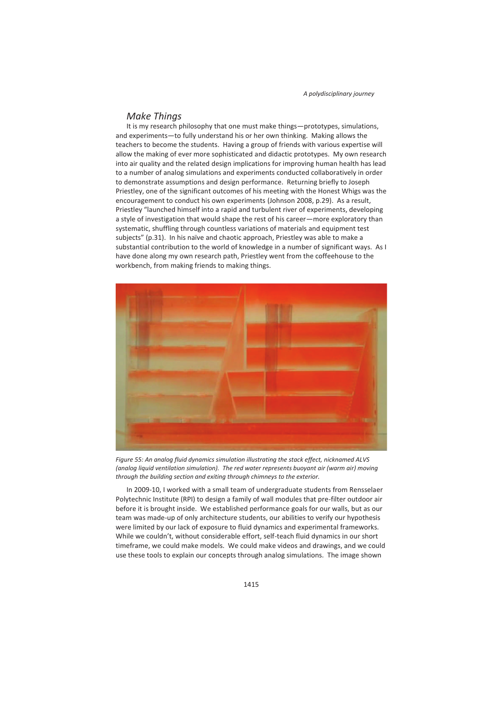### *Make Things*

It is my research philosophy that one must make things—prototypes, simulations, and experiments—to fully understand his or her own thinking. Making allows the teachers to become the students. Having a group of friends with various expertise will allow the making of ever more sophisticated and didactic prototypes. My own research into air quality and the related design implications for improving human health has lead to a number of analog simulations and experiments conducted collaboratively in order to demonstrate assumptions and design performance. Returning briefly to Joseph Priestley, one of the significant outcomes of his meeting with the Honest Whigs was the encouragement to conduct his own experiments (Johnson 2008, p.29). As a result, Priestley "launched himself into a rapid and turbulent river of experiments, developing a style of investigation that would shape the rest of his career—more exploratory than systematic, shuffling through countless variations of materials and equipment test subjects" (p.31). In his naïve and chaotic approach, Priestley was able to make a substantial contribution to the world of knowledge in a number of significant ways. As I have done along my own research path, Priestley went from the coffeehouse to the workbench, from making friends to making things.



*Figure 55: An analog fluid dynamics simulation illustrating the stack effect, nicknamed ALVS (analog liquid ventilation simulation). The red water represents buoyant air (warm air) moving through the building section and exiting through chimneys to the exterior.* 

In 2009-10, I worked with a small team of undergraduate students from Rensselaer Polytechnic Institute (RPI) to design a family of wall modules that pre-filter outdoor air before it is brought inside. We established performance goals for our walls, but as our team was made-up of only architecture students, our abilities to verify our hypothesis were limited by our lack of exposure to fluid dynamics and experimental frameworks. While we couldn't, without considerable effort, self-teach fluid dynamics in our short timeframe, we could make models. We could make videos and drawings, and we could use these tools to explain our concepts through analog simulations. The image shown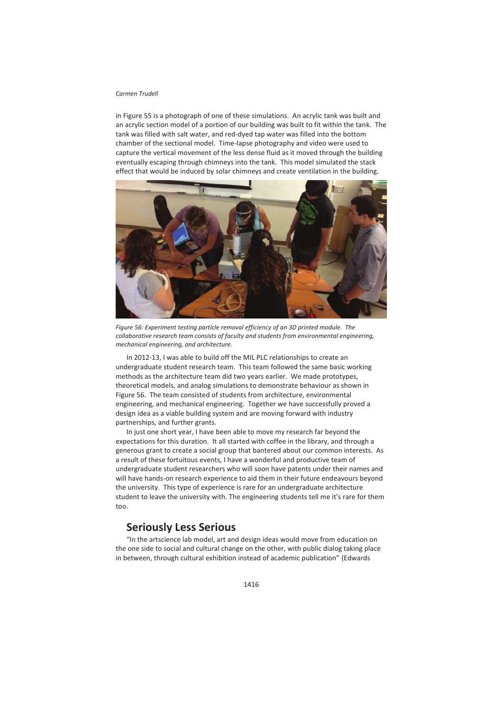in Figure 55 is a photograph of one of these simulations. An acrylic tank was built and an acrylic section model of a portion of our building was built to fit within the tank. The tank was filled with salt water, and red-dyed tap water was filled into the bottom chamber of the sectional model. Time-lapse photography and video were used to capture the vertical movement of the less dense fluid as it moved through the building eventually escaping through chimneys into the tank. This model simulated the stack effect that would be induced by solar chimneys and create ventilation in the building.



*Figure 56: Experiment testing particle removal efficiency of an 3D printed module. The collaborative research team consists of faculty and students from environmental engineering, mechanical engineering, and architecture.* 

In 2012-13, I was able to build off the MIL PLC relationships to create an undergraduate student research team. This team followed the same basic working methods as the architecture team did two years earlier. We made prototypes, theoretical models, and analog simulations to demonstrate behaviour as shown in Figure 56. The team consisted of students from architecture, environmental engineering, and mechanical engineering. Together we have successfully proved a design idea as a viable building system and are moving forward with industry partnerships, and further grants.

In just one short year, I have been able to move my research far beyond the expectations for this duration. It all started with coffee in the library, and through a generous grant to create a social group that bantered about our common interests. As a result of these fortuitous events, I have a wonderful and productive team of undergraduate student researchers who will soon have patents under their names and will have hands-on research experience to aid them in their future endeavours beyond the university. This type of experience is rare for an undergraduate architecture student to leave the university with. The engineering students tell me it's rare for them too.

# **Seriously Less Serious**

"In the artscience lab model, art and design ideas would move from education on the one side to social and cultural change on the other, with public dialog taking place in between, through cultural exhibition instead of academic publication" (Edwards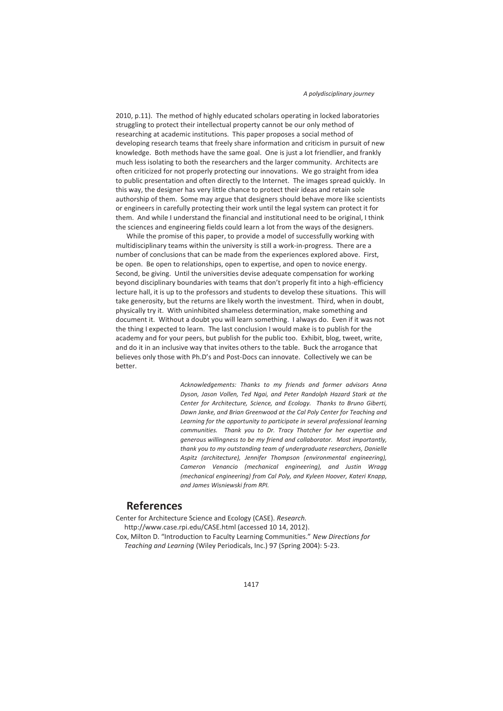2010, p.11). The method of highly educated scholars operating in locked laboratories struggling to protect their intellectual property cannot be our only method of researching at academic institutions. This paper proposes a social method of developing research teams that freely share information and criticism in pursuit of new knowledge. Both methods have the same goal. One is just a lot friendlier, and frankly much less isolating to both the researchers and the larger community. Architects are often criticized for not properly protecting our innovations. We go straight from idea to public presentation and often directly to the Internet. The images spread quickly. In this way, the designer has very little chance to protect their ideas and retain sole authorship of them. Some may argue that designers should behave more like scientists or engineers in carefully protecting their work until the legal system can protect it for them. And while I understand the financial and institutional need to be original, I think the sciences and engineering fields could learn a lot from the ways of the designers.

While the promise of this paper, to provide a model of successfully working with multidisciplinary teams within the university is still a work-in-progress. There are a number of conclusions that can be made from the experiences explored above. First, be open. Be open to relationships, open to expertise, and open to novice energy. Second, be giving. Until the universities devise adequate compensation for working beyond disciplinary boundaries with teams that don't properly fit into a high-efficiency lecture hall, it is up to the professors and students to develop these situations. This will take generosity, but the returns are likely worth the investment. Third, when in doubt, physically try it. With uninhibited shameless determination, make something and document it. Without a doubt you will learn something. I always do. Even if it was not the thing I expected to learn. The last conclusion I would make is to publish for the academy and for your peers, but publish for the public too. Exhibit, blog, tweet, write, and do it in an inclusive way that invites others to the table. Buck the arrogance that believes only those with Ph.D's and Post-Docs can innovate. Collectively we can be better.

> *Acknowledgements: Thanks to my friends and former advisors Anna Dyson, Jason Vollen, Ted Ngai, and Peter Randolph Hazard Stark at the Center for Architecture, Science, and Ecology. Thanks to Bruno Giberti, Dawn Janke, and Brian Greenwood at the Cal Poly Center for Teaching and Learning for the opportunity to participate in several professional learning communities. Thank you to Dr. Tracy Thatcher for her expertise and generous willingness to be my friend and collaborator. Most importantly, thank you to my outstanding team of undergraduate researchers, Danielle Aspitz (architecture), Jennifer Thompson (environmental engineering), Cameron Venancio (mechanical engineering), and Justin Wragg (mechanical engineering) from Cal Poly, and Kyleen Hoover, Kateri Knapp, and James Wisniewski from RPI.*

# **References**

Center for Architecture Science and Ecology (CASE). *Research.* http://www.case.rpi.edu/CASE.html (accessed 10 14, 2012). Cox, Milton D. "Introduction to Faculty Learning Communities." *New Directions for Teaching and Learning* (Wiley Periodicals, Inc.) 97 (Spring 2004): 5-23.